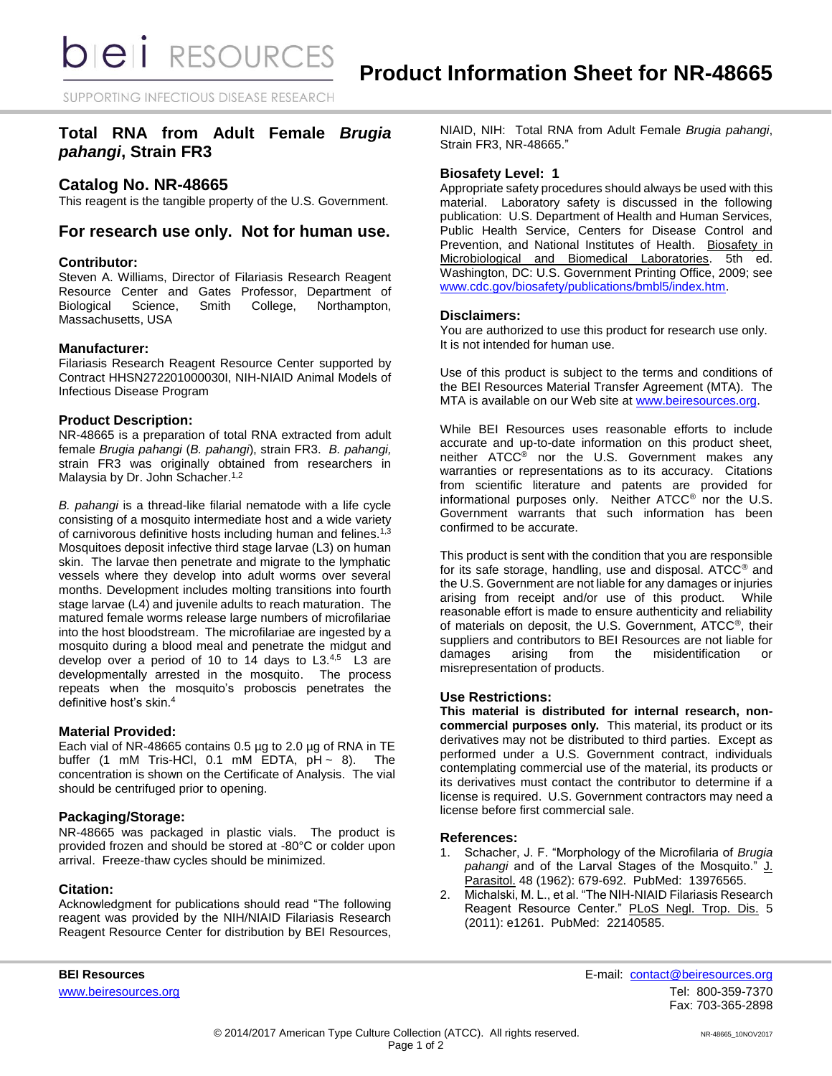SUPPORTING INFECTIOUS DISEASE RESEARCH

# **Total RNA from Adult Female** *Brugia pahangi***, Strain FR3**

# **Catalog No. NR-48665**

This reagent is the tangible property of the U.S. Government.

## **For research use only. Not for human use.**

### **Contributor:**

Steven A. Williams, Director of Filariasis Research Reagent Resource Center and Gates Professor, Department of Biological Science, Smith College, Northampton, Massachusetts, USA

### **Manufacturer:**

Filariasis Research Reagent Resource Center supported by Contract HHSN272201000030I, NIH-NIAID Animal Models of Infectious Disease Program

### **Product Description:**

NR-48665 is a preparation of total RNA extracted from adult female *Brugia pahangi* (*B. pahangi*), strain FR3. *B. pahangi,* strain FR3 was originally obtained from researchers in Malaysia by Dr. John Schacher.<sup>1,2</sup>

*B. pahangi* is a thread-like filarial nematode with a life cycle consisting of a mosquito intermediate host and a wide variety of carnivorous definitive hosts including human and felines.<sup>1,3</sup> Mosquitoes deposit infective third stage larvae (L3) on human skin. The larvae then penetrate and migrate to the lymphatic vessels where they develop into adult worms over several months. Development includes molting transitions into fourth stage larvae (L4) and juvenile adults to reach maturation. The matured female worms release large numbers of microfilariae into the host bloodstream. The microfilariae are ingested by a mosquito during a blood meal and penetrate the midgut and develop over a period of 10 to 14 days to  $L3^{4,5}$  L3 are developmentally arrested in the mosquito. The process repeats when the mosquito's proboscis penetrates the definitive host's skin.<sup>4</sup>

### **Material Provided:**

Each vial of NR-48665 contains 0.5 µg to 2.0 µg of RNA in TE buffer (1 mM Tris-HCl, 0.1 mM EDTA,  $pH \sim 8$ ). The concentration is shown on the Certificate of Analysis. The vial should be centrifuged prior to opening.

### **Packaging/Storage:**

NR-48665 was packaged in plastic vials. The product is provided frozen and should be stored at -80°C or colder upon arrival. Freeze-thaw cycles should be minimized.

### **Citation:**

Acknowledgment for publications should read "The following reagent was provided by the NIH/NIAID Filariasis Research Reagent Resource Center for distribution by BEI Resources, NIAID, NIH: Total RNA from Adult Female *Brugia pahangi*, Strain FR3, NR-48665."

### **Biosafety Level: 1**

Appropriate safety procedures should always be used with this material. Laboratory safety is discussed in the following publication: U.S. Department of Health and Human Services, Public Health Service, Centers for Disease Control and Prevention, and National Institutes of Health. Biosafety in Microbiological and Biomedical Laboratories. 5th ed. Washington, DC: U.S. Government Printing Office, 2009; see [www.cdc.gov/biosafety/publications/bmbl5/index.htm.](http://www.cdc.gov/biosafety/publications/bmbl5/index.htm)

### **Disclaimers:**

You are authorized to use this product for research use only. It is not intended for human use.

Use of this product is subject to the terms and conditions of the BEI Resources Material Transfer Agreement (MTA). The MTA is available on our Web site at [www.beiresources.org.](http://www.beiresources.org/)

While BEI Resources uses reasonable efforts to include accurate and up-to-date information on this product sheet, neither ATCC® nor the U.S. Government makes any warranties or representations as to its accuracy. Citations from scientific literature and patents are provided for informational purposes only. Neither ATCC® nor the U.S. Government warrants that such information has been confirmed to be accurate.

This product is sent with the condition that you are responsible for its safe storage, handling, use and disposal. ATCC® and the U.S. Government are not liable for any damages or injuries arising from receipt and/or use of this product. While reasonable effort is made to ensure authenticity and reliability of materials on deposit, the U.S. Government, ATCC®, their suppliers and contributors to BEI Resources are not liable for damages arising from the misidentification or misrepresentation of products.

### **Use Restrictions:**

**This material is distributed for internal research, noncommercial purposes only.** This material, its product or its derivatives may not be distributed to third parties. Except as performed under a U.S. Government contract, individuals contemplating commercial use of the material, its products or its derivatives must contact the contributor to determine if a license is required. U.S. Government contractors may need a license before first commercial sale.

### **References:**

- 1. Schacher, J. F. "Morphology of the Microfilaria of *Brugia pahangi* and of the Larval Stages of the Mosquito." J. Parasitol. 48 (1962): 679-692. PubMed: 13976565.
- 2. Michalski, M. L., et al. "The NIH-NIAID Filariasis Research Reagent Resource Center." PLoS Negl. Trop. Dis. 5 (2011): e1261. PubMed: 22140585.

**BEI Resources** E-mail: [contact@beiresources.org](mailto:contact@beiresources.org) [www.beiresources.org](http://www.beiresources.org/)Tel: 800-359-7370 Fax: 703-365-2898